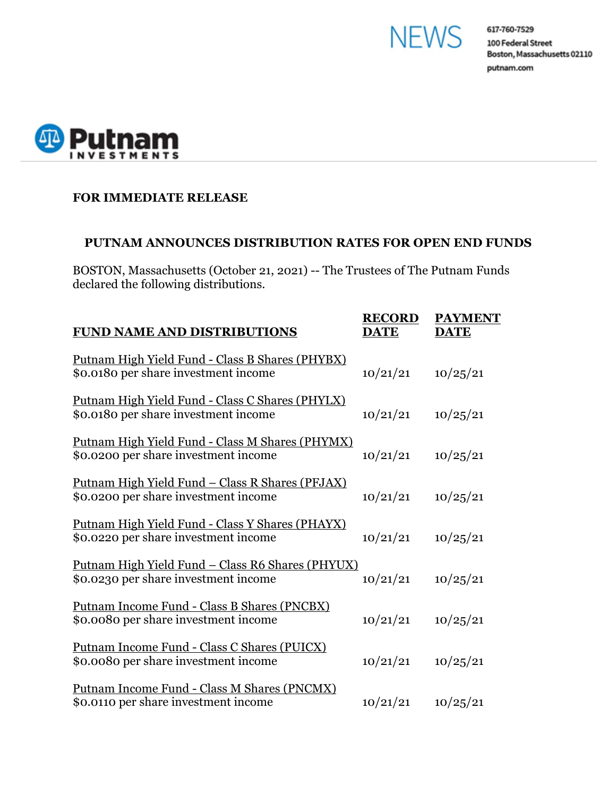



## **FOR IMMEDIATE RELEASE**

## **PUTNAM ANNOUNCES DISTRIBUTION RATES FOR OPEN END FUNDS**

BOSTON, Massachusetts (October 21, 2021) -- The Trustees of The Putnam Funds declared the following distributions.

| <b>FUND NAME AND DISTRIBUTIONS</b>                                                               | <b>RECORD</b><br><b>DATE</b> | <b>PAYMENT</b><br><b>DATE</b> |
|--------------------------------------------------------------------------------------------------|------------------------------|-------------------------------|
| Putnam High Yield Fund - Class B Shares (PHYBX)<br>\$0.0180 per share investment income          | 10/21/21                     | 10/25/21                      |
| Putnam High Yield Fund - Class C Shares (PHYLX)<br>\$0.0180 per share investment income          | 10/21/21                     | 10/25/21                      |
| Putnam High Yield Fund - Class M Shares (PHYMX)<br>\$0.0200 per share investment income          | 10/21/21                     | 10/25/21                      |
| <u> Putnam High Yield Fund – Class R Shares (PFJAX)</u><br>\$0.0200 per share investment income  | 10/21/21                     | 10/25/21                      |
| <u> Putnam High Yield Fund - Class Y Shares (PHAYX)</u><br>\$0.0220 per share investment income  | 10/21/21                     | 10/25/21                      |
| <u> Putnam High Yield Fund – Class R6 Shares (PHYUX)</u><br>\$0.0230 per share investment income | 10/21/21                     | 10/25/21                      |
| Putnam Income Fund - Class B Shares (PNCBX)<br>\$0.0080 per share investment income              | 10/21/21                     | 10/25/21                      |
| Putnam Income Fund - Class C Shares (PUICX)<br>\$0.0080 per share investment income              | 10/21/21                     | 10/25/21                      |
| Putnam Income Fund - Class M Shares (PNCMX)<br>\$0.0110 per share investment income              | 10/21/21                     | 10/25/21                      |